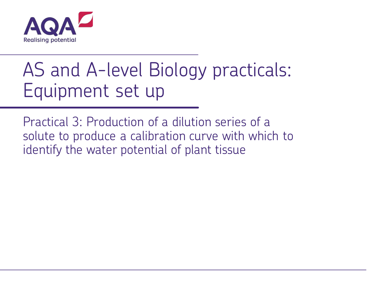

# AS and A-level Biology practicals: Equipment set up

Practical 3: Production of a dilution series of a solute to produce a calibration curve with which to identify the water potential of plant tissue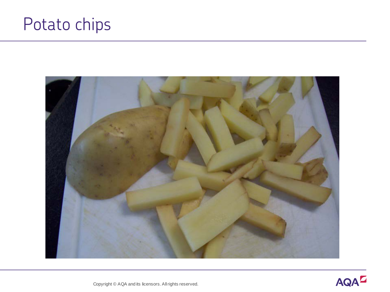## Potato chips



Copyright © AQA and its licensors. All rights reserved.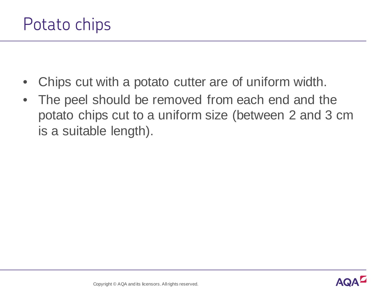- Chips cut with a potato cutter are of uniform width.
- The peel should be removed from each end and the potato chips cut to a uniform size (between 2 and 3 cm is a suitable length).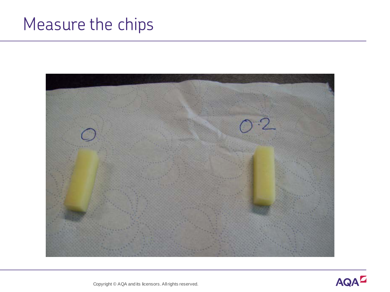## Measure the chips





Copyright © AQA and its licensors. All rights reserved.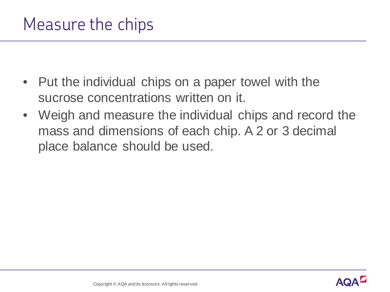- Put the individual chips on a paper towel with the sucrose concentrations written on it.
- Weigh and measure the individual chips and record the mass and dimensions of each chip. A 2 or 3 decimal place balance should be used.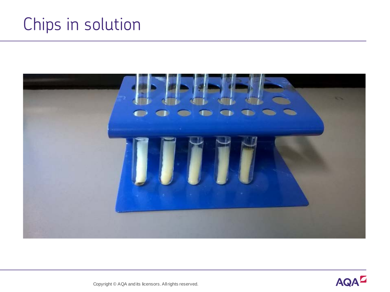## Chips in solution